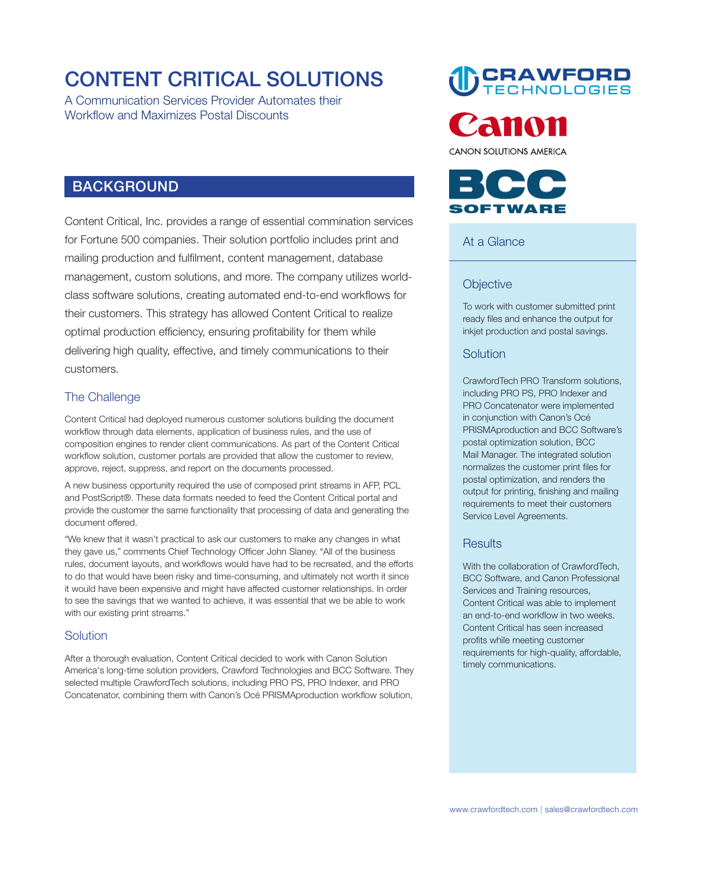# **CONTENT CRITICAL SOLUTIONS**

**A Communication Services Provider Automates their Workflow and Maximizes Postal Discounts** 

# **BACKGROUND**

**Content Critical, Inc. provides a range of essential commination services for Fortune 500 companies. Their solution portfolio includes print and mailing production and fulfilment, content management, database management, custom solutions, and more. The company utilizes worldclass software solutions, creating automated end-to-end workflows for their customers. This strategy has allowed Content Critical to realize optimal production efficiency, ensuring profitability for them while delivering high quality, effective, and timely communications to their customers.** 

## **The Challenge**

**Content Critical had deployed numerous customer solutions building the document workflow through data elements, application of business rules, and the use of composition engines to render client communications. As part of the Content Critical workflow solution, customer portals are provided that allow the customer to review, approve, reject, suppress, and report on the documents processed.** 

**A new business opportunity required the use of composed print streams in AFP, PCL and PostScript®. These data formats needed to feed the Content Critical portal and provide the customer the same functionality that processing of data and generating the document offered.** 

**"We knew that it wasn't practical to ask our customers to make any changes in what they gave us," comments Chief Technology Officer John Slaney. "All of the business rules, document layouts, and workflows would have had to be recreated, and the efforts to do that would have been risky and time-consuming, and ultimately not worth it since it would have been expensive and might have affected customer relationships. In order to see the savings that we wanted to achieve, it was essential that we be able to work with our existing print streams."** 

#### **Solution**

**After a thorough evaluation, Content Critical decided to work with Canon Solution America's long-time solution providers, Crawford Technologies and BCC Software. They selected multiple CrawfordTech solutions, including PRO PS, PRO Indexer, and PRO Concatenator, combining them with Canon's Océ PRISMAproduction workflow solution,** 

**CRAWFORD**<br>TECHNOLOGIES



**CANON SOLUTIONS AMERICA** 



#### **At a Glance**

#### **Objective**

**To work with customer submitted print ready files and enhance the output for inkjet production and postal savings.** 

#### **Solution**

**CrawfordTech PRO Transform solutions, including PRO PS, PRO Indexer and PRO Concatenator were implemented in conjunction with Canon's Océ PRISMAproduction and BCC Software's postal optimization solution, BCC Mail Manager. The integrated solution normalizes the customer print files for postal optimization, and renders the output for printing, finishing and mailing requirements to meet their customers Service Level Agreements.** 

#### **Results**

**With the collaboration of CrawfordTech, BCC Software, and Canon Professional Services and Training resources, Content Critical was able to implement an end-to-end workflow in two weeks. Content Critical has seen increased profits while meeting customer requirements for high-quality, affordable, timely communications.**